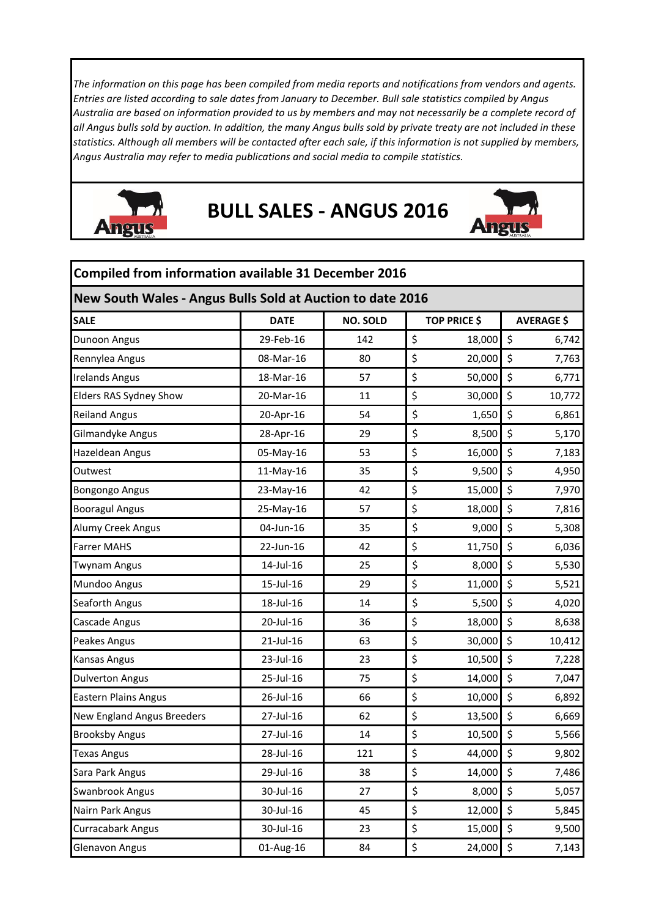*The information on this page has been compiled from media reports and notifications from vendors and agents. Entries are listed according to sale dates from January to December. Bull sale statistics compiled by Angus Australia are based on information provided to us by members and may not necessarily be a complete record of all Angus bulls sold by auction. In addition, the many Angus bulls sold by private treaty are not included in these statistics. Although all members will be contacted after each sale, if this information is not supplied by members, Angus Australia may refer to media publications and social media to compile statistics.* 



## **BULL SALES - ANGUS 2016**



| <b>Compiled from information available 31 December 2016</b> |              |                 |                     |                        |  |  |  |  |
|-------------------------------------------------------------|--------------|-----------------|---------------------|------------------------|--|--|--|--|
| New South Wales - Angus Bulls Sold at Auction to date 2016  |              |                 |                     |                        |  |  |  |  |
| <b>SALE</b>                                                 | <b>DATE</b>  | <b>NO. SOLD</b> | <b>TOP PRICE \$</b> | <b>AVERAGE \$</b>      |  |  |  |  |
| Dunoon Angus                                                | 29-Feb-16    | 142             | \$<br>18,000        | $\zeta$<br>6,742       |  |  |  |  |
| Rennylea Angus                                              | 08-Mar-16    | 80              | \$<br>20,000        | \$<br>7,763            |  |  |  |  |
| <b>Irelands Angus</b>                                       | 18-Mar-16    | 57              | \$<br>50,000        | \$<br>6,771            |  |  |  |  |
| Elders RAS Sydney Show                                      | 20-Mar-16    | 11              | \$<br>30,000        | \$<br>10,772           |  |  |  |  |
| <b>Reiland Angus</b>                                        | 20-Apr-16    | 54              | \$<br>1,650         | \$<br>6,861            |  |  |  |  |
| Gilmandyke Angus                                            | 28-Apr-16    | 29              | \$<br>8,500         | \$<br>5,170            |  |  |  |  |
| Hazeldean Angus                                             | 05-May-16    | 53              | \$<br>16,000        | \$<br>7,183            |  |  |  |  |
| Outwest                                                     | 11-May-16    | 35              | \$<br>9,500         | $\zeta$<br>4,950       |  |  |  |  |
| <b>Bongongo Angus</b>                                       | 23-May-16    | 42              | \$<br>15,000        | $\zeta$<br>7,970       |  |  |  |  |
| <b>Booragul Angus</b>                                       | 25-May-16    | 57              | \$<br>18,000        | \$<br>7,816            |  |  |  |  |
| Alumy Creek Angus                                           | 04-Jun-16    | 35              | \$<br>9,000         | \$<br>5,308            |  |  |  |  |
| <b>Farrer MAHS</b>                                          | 22-Jun-16    | 42              | \$<br>11,750        | \$<br>6,036            |  |  |  |  |
| <b>Twynam Angus</b>                                         | 14-Jul-16    | 25              | \$<br>8,000         | $\zeta$<br>5,530       |  |  |  |  |
| Mundoo Angus                                                | 15-Jul-16    | 29              | \$<br>11,000        | \$<br>5,521            |  |  |  |  |
| Seaforth Angus                                              | 18-Jul-16    | 14              | \$<br>5,500         | \$<br>4,020            |  |  |  |  |
| Cascade Angus                                               | 20-Jul-16    | 36              | \$<br>18,000        | \$<br>8,638            |  |  |  |  |
| Peakes Angus                                                | $21$ -Jul-16 | 63              | \$<br>30,000        | \$<br>10,412           |  |  |  |  |
| <b>Kansas Angus</b>                                         | 23-Jul-16    | 23              | \$<br>10,500        | $\zeta$<br>7,228       |  |  |  |  |
| <b>Dulverton Angus</b>                                      | 25-Jul-16    | 75              | \$<br>14,000        | \$<br>7,047            |  |  |  |  |
| <b>Eastern Plains Angus</b>                                 | 26-Jul-16    | 66              | \$<br>10,000        | \$<br>6,892            |  |  |  |  |
| <b>New England Angus Breeders</b>                           | 27-Jul-16    | 62              | 13,500 \$<br>\$     | 6,669                  |  |  |  |  |
| <b>Brooksby Angus</b>                                       | 27-Jul-16    | 14              | \$<br>10,500        | \$<br>5,566            |  |  |  |  |
| <b>Texas Angus</b>                                          | 28-Jul-16    | 121             | \$<br>44,000        | $\zeta$<br>9,802       |  |  |  |  |
| Sara Park Angus                                             | 29-Jul-16    | 38              | \$<br>14,000        | \$<br>7,486            |  |  |  |  |
| Swanbrook Angus                                             | 30-Jul-16    | 27              | \$<br>8,000         | \$<br>5,057            |  |  |  |  |
| Nairn Park Angus                                            | 30-Jul-16    | 45              | \$<br>12,000        | \$<br>5,845            |  |  |  |  |
| Curracabark Angus                                           | 30-Jul-16    | 23              | \$<br>15,000        | \$<br>9,500            |  |  |  |  |
| <b>Glenavon Angus</b>                                       | 01-Aug-16    | 84              | \$<br>24,000        | $\ddot{\phi}$<br>7,143 |  |  |  |  |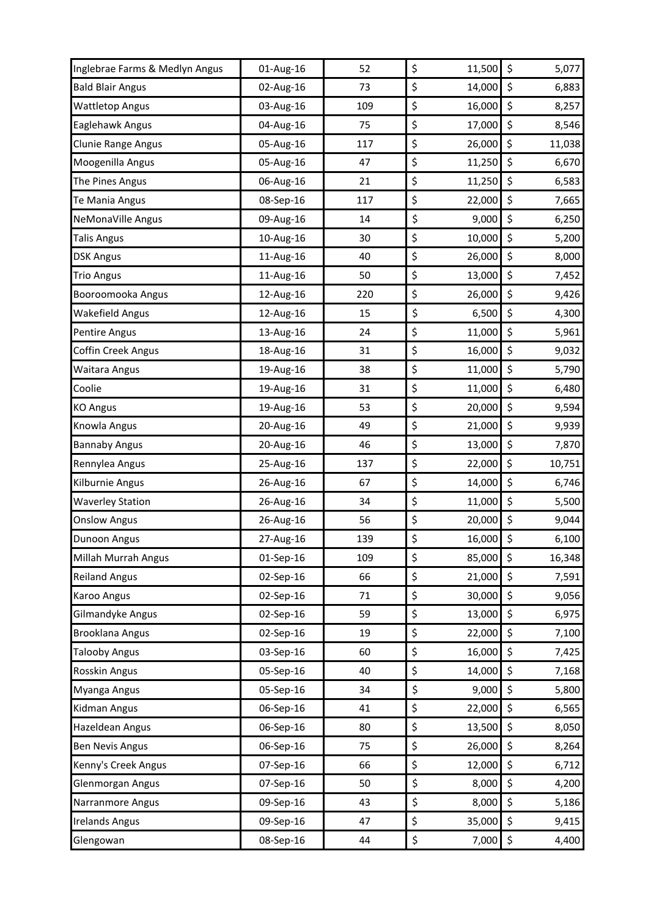| Inglebrae Farms & Medlyn Angus | 01-Aug-16 | 52  | \$<br>11,500      | \$<br>5,077  |
|--------------------------------|-----------|-----|-------------------|--------------|
| <b>Bald Blair Angus</b>        | 02-Aug-16 | 73  | \$<br>14,000      | \$<br>6,883  |
| <b>Wattletop Angus</b>         | 03-Aug-16 | 109 | \$<br>16,000      | \$<br>8,257  |
| Eaglehawk Angus                | 04-Aug-16 | 75  | \$<br>17,000      | \$<br>8,546  |
| Clunie Range Angus             | 05-Aug-16 | 117 | \$<br>26,000      | \$<br>11,038 |
| Moogenilla Angus               | 05-Aug-16 | 47  | \$<br>11,250      | \$<br>6,670  |
| The Pines Angus                | 06-Aug-16 | 21  | \$<br>11,250      | \$<br>6,583  |
| Te Mania Angus                 | 08-Sep-16 | 117 | \$<br>22,000      | \$<br>7,665  |
| NeMonaVille Angus              | 09-Aug-16 | 14  | \$<br>9,000       | \$<br>6,250  |
| <b>Talis Angus</b>             | 10-Aug-16 | 30  | \$<br>10,000      | \$<br>5,200  |
| <b>DSK Angus</b>               | 11-Aug-16 | 40  | \$<br>26,000      | \$<br>8,000  |
| <b>Trio Angus</b>              | 11-Aug-16 | 50  | \$<br>13,000      | \$<br>7,452  |
| Booroomooka Angus              | 12-Aug-16 | 220 | \$<br>26,000      | \$<br>9,426  |
| <b>Wakefield Angus</b>         | 12-Aug-16 | 15  | \$<br>6,500       | \$<br>4,300  |
| Pentire Angus                  | 13-Aug-16 | 24  | \$<br>11,000      | \$<br>5,961  |
| <b>Coffin Creek Angus</b>      | 18-Aug-16 | 31  | \$<br>16,000      | \$<br>9,032  |
| Waitara Angus                  | 19-Aug-16 | 38  | \$<br>11,000      | \$<br>5,790  |
| Coolie                         | 19-Aug-16 | 31  | \$<br>11,000      | \$<br>6,480  |
| <b>KO Angus</b>                | 19-Aug-16 | 53  | \$<br>20,000      | \$<br>9,594  |
| Knowla Angus                   | 20-Aug-16 | 49  | \$<br>21,000      | \$<br>9,939  |
| <b>Bannaby Angus</b>           | 20-Aug-16 | 46  | \$<br>13,000      | \$<br>7,870  |
| Rennylea Angus                 | 25-Aug-16 | 137 | \$<br>22,000      | \$<br>10,751 |
| Kilburnie Angus                | 26-Aug-16 | 67  | \$<br>14,000      | \$<br>6,746  |
| <b>Waverley Station</b>        | 26-Aug-16 | 34  | \$<br>11,000      | \$<br>5,500  |
| <b>Onslow Angus</b>            | 26-Aug-16 | 56  | \$<br>$20,000$ \$ | 9,044        |
| Dunoon Angus                   | 27-Aug-16 | 139 | \$<br>16,000      | \$<br>6,100  |
| Millah Murrah Angus            | 01-Sep-16 | 109 | \$<br>85,000      | \$<br>16,348 |
| <b>Reiland Angus</b>           | 02-Sep-16 | 66  | \$<br>21,000      | \$<br>7,591  |
| <b>Karoo Angus</b>             | 02-Sep-16 | 71  | \$<br>30,000      | \$<br>9,056  |
| Gilmandyke Angus               | 02-Sep-16 | 59  | \$<br>13,000      | \$<br>6,975  |
| <b>Brooklana Angus</b>         | 02-Sep-16 | 19  | \$<br>22,000      | \$<br>7,100  |
| <b>Talooby Angus</b>           | 03-Sep-16 | 60  | \$<br>16,000      | \$<br>7,425  |
| Rosskin Angus                  | 05-Sep-16 | 40  | \$<br>14,000      | \$<br>7,168  |
| Myanga Angus                   | 05-Sep-16 | 34  | \$<br>9,000       | \$<br>5,800  |
| Kidman Angus                   | 06-Sep-16 | 41  | \$<br>22,000      | \$<br>6,565  |
| Hazeldean Angus                | 06-Sep-16 | 80  | \$<br>13,500      | \$<br>8,050  |
| <b>Ben Nevis Angus</b>         | 06-Sep-16 | 75  | \$<br>26,000      | \$<br>8,264  |
| Kenny's Creek Angus            | 07-Sep-16 | 66  | \$<br>12,000      | \$<br>6,712  |
| Glenmorgan Angus               | 07-Sep-16 | 50  | \$<br>8,000       | \$<br>4,200  |
| Narranmore Angus               | 09-Sep-16 | 43  | \$<br>8,000       | \$<br>5,186  |
| <b>Irelands Angus</b>          | 09-Sep-16 | 47  | \$<br>35,000      | \$<br>9,415  |
| Glengowan                      | 08-Sep-16 | 44  | \$<br>7,000       | \$<br>4,400  |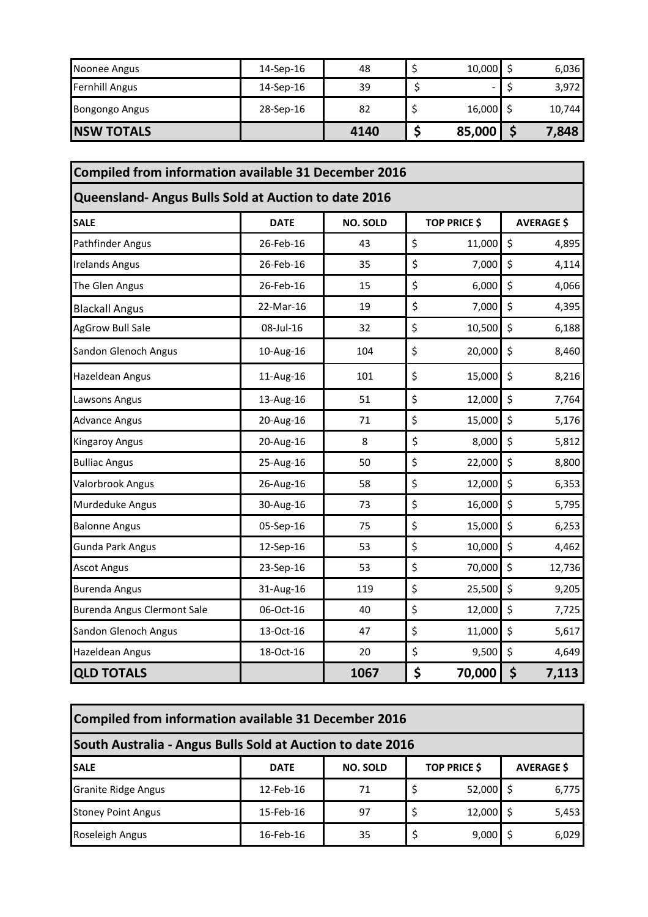| Noonee Angus          | 14-Sep-16 | 48   | $10,000$ \$ | 6,036  |
|-----------------------|-----------|------|-------------|--------|
| <b>Fernhill Angus</b> | 14-Sep-16 | 39   | -           | 3,972  |
| <b>Bongongo Angus</b> | 28-Sep-16 | 82   | $16,000$ \$ | 10,744 |
| <b>INSW TOTALS</b>    |           | 4140 | 85,000      | 7,848  |

| <b>Compiled from information available 31 December 2016</b> |             |                 |                     |                   |
|-------------------------------------------------------------|-------------|-----------------|---------------------|-------------------|
| Queensland- Angus Bulls Sold at Auction to date 2016        |             |                 |                     |                   |
| <b>SALE</b>                                                 | <b>DATE</b> | <b>NO. SOLD</b> | <b>TOP PRICE \$</b> | <b>AVERAGE \$</b> |
| Pathfinder Angus                                            | 26-Feb-16   | 43              | \$<br>11,000        | $\zeta$<br>4,895  |
| <b>Irelands Angus</b>                                       | 26-Feb-16   | 35              | \$<br>7,000         | \$<br>4,114       |
| The Glen Angus                                              | 26-Feb-16   | 15              | \$<br>6,000         | \$<br>4,066       |
| <b>Blackall Angus</b>                                       | 22-Mar-16   | 19              | \$<br>7,000         | \$<br>4,395       |
| <b>AgGrow Bull Sale</b>                                     | 08-Jul-16   | 32              | \$<br>10,500        | \$<br>6,188       |
| Sandon Glenoch Angus                                        | 10-Aug-16   | 104             | \$<br>20,000        | $\zeta$<br>8,460  |
| Hazeldean Angus                                             | 11-Aug-16   | 101             | \$<br>15,000        | \$<br>8,216       |
| Lawsons Angus                                               | 13-Aug-16   | 51              | \$<br>12,000        | $\zeta$<br>7,764  |
| <b>Advance Angus</b>                                        | 20-Aug-16   | 71              | \$<br>15,000        | $\zeta$<br>5,176  |
| <b>Kingaroy Angus</b>                                       | 20-Aug-16   | 8               | \$<br>8,000         | \$<br>5,812       |
| <b>Bulliac Angus</b>                                        | 25-Aug-16   | 50              | \$<br>22,000        | $\zeta$<br>8,800  |
| Valorbrook Angus                                            | 26-Aug-16   | 58              | \$<br>12,000        | $\zeta$<br>6,353  |
| Murdeduke Angus                                             | 30-Aug-16   | 73              | \$<br>16,000        | $\zeta$<br>5,795  |
| <b>Balonne Angus</b>                                        | 05-Sep-16   | 75              | \$<br>15,000        | $\zeta$<br>6,253  |
| <b>Gunda Park Angus</b>                                     | 12-Sep-16   | 53              | \$<br>10,000        | \$<br>4,462       |
| <b>Ascot Angus</b>                                          | 23-Sep-16   | 53              | \$<br>70,000        | $\zeta$<br>12,736 |
| <b>Burenda Angus</b>                                        | 31-Aug-16   | 119             | \$<br>25,500        | $\zeta$<br>9,205  |
| <b>Burenda Angus Clermont Sale</b>                          | 06-Oct-16   | 40              | \$<br>12,000        | \$<br>7,725       |
| Sandon Glenoch Angus                                        | 13-Oct-16   | 47              | \$<br>11,000        | \$<br>5,617       |
| Hazeldean Angus                                             | 18-Oct-16   | 20              | \$<br>9,500         | \$<br>4,649       |
| <b>QLD TOTALS</b>                                           |             | 1067            | \$<br>70,000        | \$<br>7,113       |

| Compiled from information available 31 December 2016       |             |                 |  |                     |                   |       |  |  |
|------------------------------------------------------------|-------------|-----------------|--|---------------------|-------------------|-------|--|--|
| South Australia - Angus Bulls Sold at Auction to date 2016 |             |                 |  |                     |                   |       |  |  |
| <b>SALE</b>                                                | <b>DATE</b> | <b>NO. SOLD</b> |  | <b>TOP PRICE \$</b> | <b>AVERAGE \$</b> |       |  |  |
| <b>Granite Ridge Angus</b>                                 | 12-Feb-16   | 71              |  | $52,000$ \$         |                   | 6,775 |  |  |
| <b>Stoney Point Angus</b>                                  | 15-Feb-16   | 97              |  | $12,000$ \$         |                   | 5,453 |  |  |
| Roseleigh Angus                                            | 16-Feb-16   | 35              |  | 9,000               |                   | 6,029 |  |  |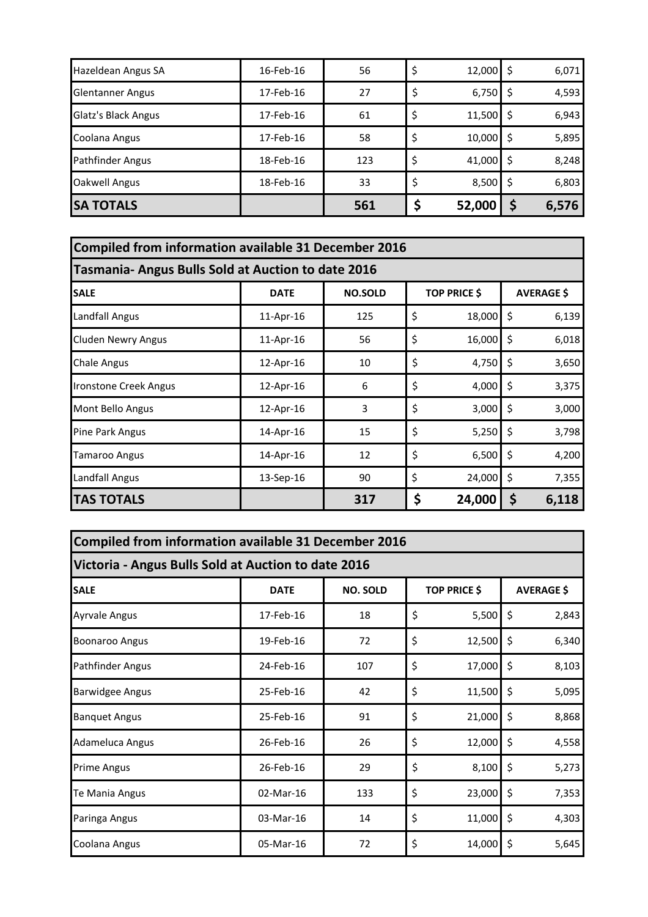| Hazeldean Angus SA      | 16-Feb-16 | 56  | $12,000$ \$       |   | 6,071 |
|-------------------------|-----------|-----|-------------------|---|-------|
| <b>Glentanner Angus</b> | 17-Feb-16 | 27  | $6,750$ \$        |   | 4,593 |
| Glatz's Black Angus     | 17-Feb-16 | 61  | \$<br>$11,500$ \$ |   | 6,943 |
| Coolana Angus           | 17-Feb-16 | 58  | \$<br>$10,000$ \$ |   | 5,895 |
| Pathfinder Angus        | 18-Feb-16 | 123 | \$<br>$41,000$ \$ |   | 8,248 |
| <b>Oakwell Angus</b>    | 18-Feb-16 | 33  | $8,500$ \$        |   | 6,803 |
| <b>SA TOTALS</b>        |           | 561 | 52,000            | Ş | 6,576 |

| Compiled from information available 31 December 2016      |             |                |                                          |        |    |       |  |
|-----------------------------------------------------------|-------------|----------------|------------------------------------------|--------|----|-------|--|
| <b>Tasmania- Angus Bulls Sold at Auction to date 2016</b> |             |                |                                          |        |    |       |  |
| <b>SALE</b>                                               | <b>DATE</b> | <b>NO.SOLD</b> | <b>TOP PRICE \$</b><br><b>AVERAGE \$</b> |        |    |       |  |
| Landfall Angus                                            | 11-Apr-16   | 125            | \$                                       | 18,000 | \$ | 6,139 |  |
| <b>Cluden Newry Angus</b>                                 | 11-Apr-16   | 56             | \$                                       | 16,000 | \$ | 6,018 |  |
| <b>Chale Angus</b>                                        | 12-Apr-16   | 10             | \$                                       | 4,750  | \$ | 3,650 |  |
| Ironstone Creek Angus                                     | 12-Apr-16   | 6              | \$                                       | 4,000  | \$ | 3,375 |  |
| Mont Bello Angus                                          | 12-Apr-16   | 3              | \$                                       | 3,000  | \$ | 3,000 |  |
| Pine Park Angus                                           | 14-Apr-16   | 15             | \$                                       | 5,250  | Ś  | 3,798 |  |
| Tamaroo Angus                                             | 14-Apr-16   | 12             | \$                                       | 6,500  | \$ | 4,200 |  |
| Landfall Angus                                            | 13-Sep-16   | 90             | \$                                       | 24,000 | \$ | 7,355 |  |
| <b>TAS TOTALS</b>                                         |             | 317            | \$                                       | 24,000 | Ş  | 6,118 |  |

| <b>Compiled from information available 31 December 2016</b> |             |                 |    |                     |         |                   |  |  |
|-------------------------------------------------------------|-------------|-----------------|----|---------------------|---------|-------------------|--|--|
| Victoria - Angus Bulls Sold at Auction to date 2016         |             |                 |    |                     |         |                   |  |  |
| <b>SALE</b>                                                 | <b>DATE</b> | <b>NO. SOLD</b> |    | <b>TOP PRICE \$</b> |         | <b>AVERAGE \$</b> |  |  |
| <b>Ayrvale Angus</b>                                        | 17-Feb-16   | 18              | \$ | 5,500               | $\zeta$ | 2,843             |  |  |
| <b>Boonaroo Angus</b>                                       | 19-Feb-16   | 72              | \$ | 12,500              | $\zeta$ | 6,340             |  |  |
| Pathfinder Angus                                            | 24-Feb-16   | 107             | \$ | 17,000              | \$      | 8,103             |  |  |
| <b>Barwidgee Angus</b>                                      | 25-Feb-16   | 42              | \$ | 11,500              | \$      | 5,095             |  |  |
| <b>Banquet Angus</b>                                        | 25-Feb-16   | 91              | \$ | 21,000              | \$      | 8,868             |  |  |
| Adameluca Angus                                             | 26-Feb-16   | 26              | \$ | 12,000              | \$      | 4,558             |  |  |
| Prime Angus                                                 | 26-Feb-16   | 29              | \$ | 8,100               | \$      | 5,273             |  |  |
| Te Mania Angus                                              | 02-Mar-16   | 133             | \$ | 23,000              | \$      | 7,353             |  |  |
| Paringa Angus                                               | 03-Mar-16   | 14              | \$ | 11,000              | \$      | 4,303             |  |  |
| Coolana Angus                                               | 05-Mar-16   | 72              | \$ | 14,000              | \$      | 5,645             |  |  |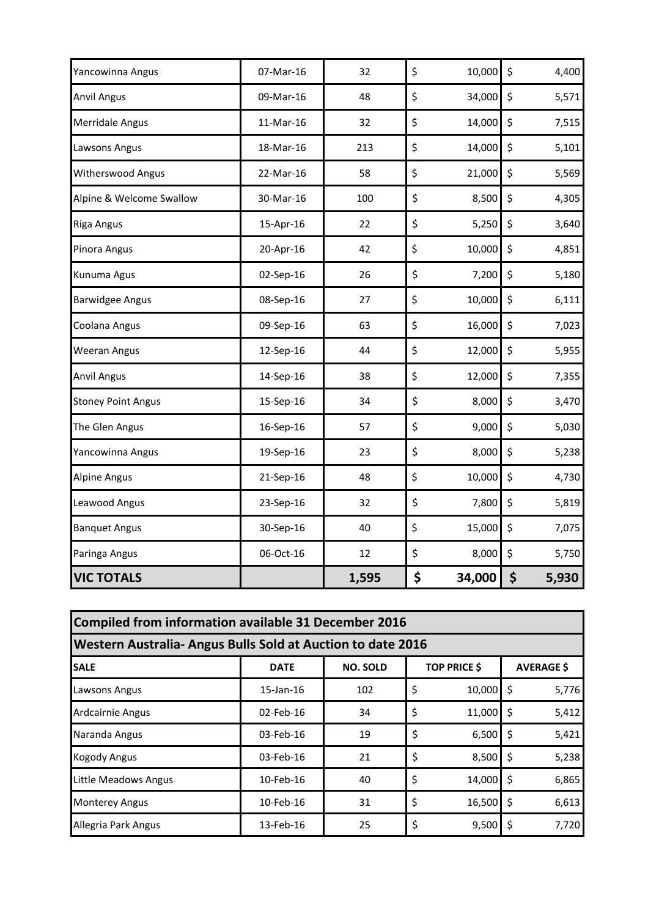| Yancowinna Angus          | 07-Mar-16 | 32    | \$<br>10,000 | \$<br>4,400 |
|---------------------------|-----------|-------|--------------|-------------|
| <b>Anvil Angus</b>        | 09-Mar-16 | 48    | \$<br>34,000 | \$<br>5,571 |
| <b>Merridale Angus</b>    | 11-Mar-16 | 32    | \$<br>14,000 | \$<br>7,515 |
| Lawsons Angus             | 18-Mar-16 | 213   | \$<br>14,000 | \$<br>5,101 |
| <b>Witherswood Angus</b>  | 22-Mar-16 | 58    | \$<br>21,000 | \$<br>5,569 |
| Alpine & Welcome Swallow  | 30-Mar-16 | 100   | \$<br>8,500  | \$<br>4,305 |
| <b>Riga Angus</b>         | 15-Apr-16 | 22    | \$<br>5,250  | \$<br>3,640 |
| Pinora Angus              | 20-Apr-16 | 42    | \$<br>10,000 | \$<br>4,851 |
| Kunuma Agus               | 02-Sep-16 | 26    | \$<br>7,200  | \$<br>5,180 |
| <b>Barwidgee Angus</b>    | 08-Sep-16 | 27    | \$<br>10,000 | \$<br>6,111 |
| Coolana Angus             | 09-Sep-16 | 63    | \$<br>16,000 | \$<br>7,023 |
| <b>Weeran Angus</b>       | 12-Sep-16 | 44    | \$<br>12,000 | \$<br>5,955 |
| <b>Anvil Angus</b>        | 14-Sep-16 | 38    | \$<br>12,000 | \$<br>7,355 |
| <b>Stoney Point Angus</b> | 15-Sep-16 | 34    | \$<br>8,000  | \$<br>3,470 |
| The Glen Angus            | 16-Sep-16 | 57    | \$<br>9,000  | \$<br>5,030 |
| Yancowinna Angus          | 19-Sep-16 | 23    | \$<br>8,000  | \$<br>5,238 |
| <b>Alpine Angus</b>       | 21-Sep-16 | 48    | \$<br>10,000 | \$<br>4,730 |
| Leawood Angus             | 23-Sep-16 | 32    | \$<br>7,800  | \$<br>5,819 |
| <b>Banquet Angus</b>      | 30-Sep-16 | 40    | \$<br>15,000 | \$<br>7,075 |
| Paringa Angus             | 06-Oct-16 | 12    | \$<br>8,000  | \$<br>5,750 |
| <b>VIC TOTALS</b>         |           | 1,595 | \$<br>34,000 | \$<br>5,930 |

| Compiled from information available 31 December 2016                                      |                 |     |    |             |     |       |  |  |
|-------------------------------------------------------------------------------------------|-----------------|-----|----|-------------|-----|-------|--|--|
| Western Australia- Angus Bulls Sold at Auction to date 2016                               |                 |     |    |             |     |       |  |  |
| <b>TOP PRICE \$</b><br><b>NO. SOLD</b><br><b>AVERAGE \$</b><br><b>SALE</b><br><b>DATE</b> |                 |     |    |             |     |       |  |  |
| Lawsons Angus                                                                             | $15$ -Jan- $16$ | 102 | \$ | $10,000$ \$ |     | 5,776 |  |  |
| Ardcairnie Angus                                                                          | $02$ -Feb-16    | 34  | \$ | $11,000$ \$ |     | 5,412 |  |  |
| Naranda Angus                                                                             | 03-Feb-16       | 19  | \$ | $6,500$ \$  |     | 5,421 |  |  |
| <b>Kogody Angus</b>                                                                       | 03-Feb-16       | 21  | \$ | 8,500       | -\$ | 5,238 |  |  |
| Little Meadows Angus                                                                      | 10-Feb-16       | 40  | \$ | $14,000$ \$ |     | 6,865 |  |  |
| <b>Monterey Angus</b>                                                                     | 10-Feb-16       | 31  | \$ | $16,500$ \$ |     | 6,613 |  |  |
| Allegria Park Angus                                                                       | 13-Feb-16       | 25  | \$ | 9,500       |     | 7,720 |  |  |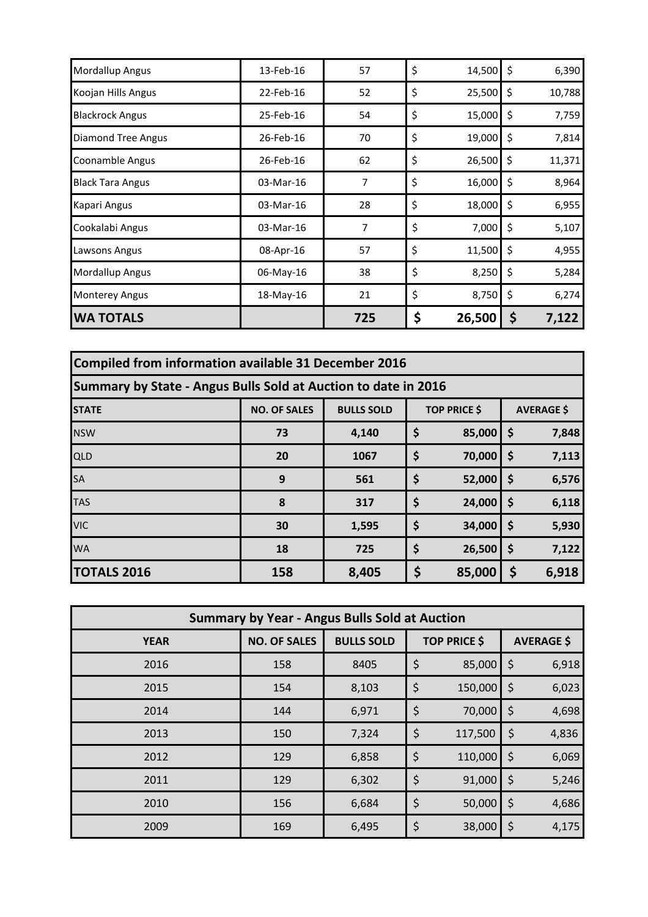| Mordallup Angus           | 13-Feb-16 | 57  | \$<br>14,500 | \$                 | 6,390  |
|---------------------------|-----------|-----|--------------|--------------------|--------|
| Koojan Hills Angus        | 22-Feb-16 | 52  | \$<br>25,500 | $\zeta$            | 10,788 |
| <b>Blackrock Angus</b>    | 25-Feb-16 | 54  | \$<br>15,000 | $\ddot{\varsigma}$ | 7,759  |
| <b>Diamond Tree Angus</b> | 26-Feb-16 | 70  | \$<br>19,000 | \$                 | 7,814  |
| Coonamble Angus           | 26-Feb-16 | 62  | \$<br>26,500 | \$                 | 11,371 |
| <b>Black Tara Angus</b>   | 03-Mar-16 | 7   | \$<br>16,000 | \$                 | 8,964  |
| Kapari Angus              | 03-Mar-16 | 28  | \$<br>18,000 | \$                 | 6,955  |
| Cookalabi Angus           | 03-Mar-16 | 7   | \$<br>7,000  | \$                 | 5,107  |
| Lawsons Angus             | 08-Apr-16 | 57  | \$<br>11,500 | \$                 | 4,955  |
| Mordallup Angus           | 06-May-16 | 38  | \$<br>8,250  | \$                 | 5,284  |
| <b>Monterey Angus</b>     | 18-May-16 | 21  | \$<br>8,750  | \$                 | 6,274  |
| <b>WA TOTALS</b>          |           | 725 | \$<br>26,500 | Ş                  | 7,122  |

| Compiled from information available 31 December 2016                                                 |     |       |    |        |    |       |  |
|------------------------------------------------------------------------------------------------------|-----|-------|----|--------|----|-------|--|
| Summary by State - Angus Bulls Sold at Auction to date in 2016                                       |     |       |    |        |    |       |  |
| <b>BULLS SOLD</b><br><b>TOP PRICE \$</b><br><b>NO. OF SALES</b><br><b>AVERAGE \$</b><br><b>STATE</b> |     |       |    |        |    |       |  |
| <b>NSW</b>                                                                                           | 73  | 4,140 | \$ | 85,000 | \$ | 7,848 |  |
| <b>QLD</b>                                                                                           | 20  | 1067  | \$ | 70,000 | \$ | 7,113 |  |
| <b>SA</b>                                                                                            | 9   | 561   | \$ | 52,000 | \$ | 6,576 |  |
| <b>TAS</b>                                                                                           | 8   | 317   | \$ | 24,000 | \$ | 6,118 |  |
| <b>VIC</b>                                                                                           | 30  | 1,595 | \$ | 34,000 | \$ | 5,930 |  |
| <b>WA</b>                                                                                            | 18  | 725   | \$ | 26,500 | \$ | 7,122 |  |
| <b>TOTALS 2016</b>                                                                                   | 158 | 8,405 | \$ | 85,000 | \$ | 6,918 |  |

| <b>Summary by Year - Angus Bulls Sold at Auction</b> |                     |                   |                     |         |                   |       |  |  |  |  |
|------------------------------------------------------|---------------------|-------------------|---------------------|---------|-------------------|-------|--|--|--|--|
| <b>YEAR</b>                                          | <b>NO. OF SALES</b> | <b>BULLS SOLD</b> | <b>TOP PRICE \$</b> |         | <b>AVERAGE \$</b> |       |  |  |  |  |
| 2016                                                 | 158                 | 8405              | \$                  | 85,000  | $\zeta$           | 6,918 |  |  |  |  |
| 2015                                                 | 154                 | 8,103             | $\varsigma$         | 150,000 | $\zeta$           | 6,023 |  |  |  |  |
| 2014                                                 | 144                 | 6,971             | \$                  | 70,000  | \$                | 4,698 |  |  |  |  |
| 2013                                                 | 150                 | 7,324             | $\varsigma$         | 117,500 | $\varsigma$       | 4,836 |  |  |  |  |
| 2012                                                 | 129                 | 6,858             | \$                  | 110,000 | $\zeta$           | 6,069 |  |  |  |  |
| 2011                                                 | 129                 | 6,302             | $\zeta$             | 91,000  | $\varsigma$       | 5,246 |  |  |  |  |
| 2010                                                 | 156                 | 6,684             | \$                  | 50,000  | $\varsigma$       | 4,686 |  |  |  |  |
| 2009                                                 | 169                 | 6,495             | \$                  | 38,000  | \$                | 4,175 |  |  |  |  |